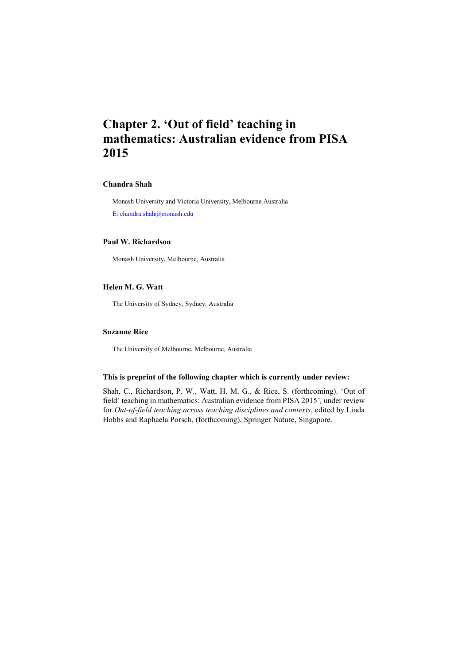# **Chapter 2. 'Out of field' teaching in mathematics: Australian evidence from PISA 2015**

### **Chandra Shah**

Monash University and Victoria University, Melbourne Australia E: [chandra.shah@monash.edu](mailto:chandra.shah@monash.edu)

### **Paul W. Richardson**

Monash University, Melbourne, Australia

### **Helen M. G. Watt**

The University of Sydney, Sydney, Australia

### **Suzanne Rice**

The University of Melbourne, Melbourne, Australia

### **This is preprint of the following chapter which is currently under review:**

Shah, C., Richardson, P. W., Watt, H. M. G., & Rice, S. (forthcoming). 'Out of field' teaching in mathematics: Australian evidence from PISA 2015'*,* under review for *Out-of-field teaching across teaching disciplines and contexts*, edited by Linda Hobbs and Raphaela Porsch, (forthcoming), Springer Nature, Singapore.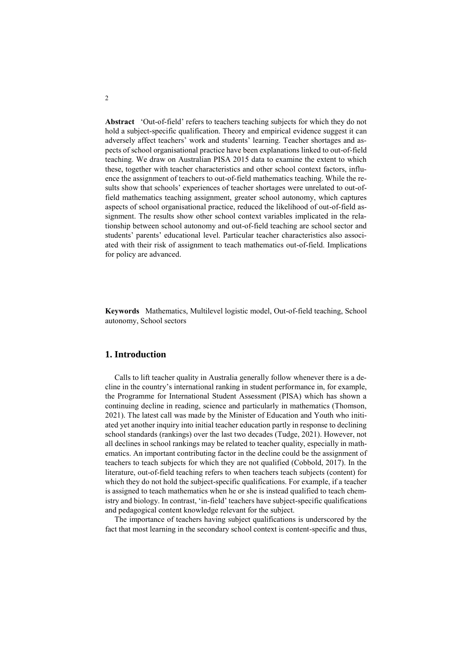**Abstract** 'Out-of-field' refers to teachers teaching subjects for which they do not hold a subject-specific qualification. Theory and empirical evidence suggest it can adversely affect teachers' work and students' learning. Teacher shortages and aspects of school organisational practice have been explanations linked to out-of-field teaching. We draw on Australian PISA 2015 data to examine the extent to which these, together with teacher characteristics and other school context factors, influence the assignment of teachers to out-of-field mathematics teaching. While the results show that schools' experiences of teacher shortages were unrelated to out-offield mathematics teaching assignment, greater school autonomy, which captures aspects of school organisational practice, reduced the likelihood of out-of-field assignment. The results show other school context variables implicated in the relationship between school autonomy and out-of-field teaching are school sector and students' parents' educational level. Particular teacher characteristics also associated with their risk of assignment to teach mathematics out-of-field. Implications for policy are advanced.

**Keywords** Mathematics, Multilevel logistic model, Out-of-field teaching, School autonomy, School sectors

### **1. Introduction**

Calls to lift teacher quality in Australia generally follow whenever there is a decline in the country's international ranking in student performance in, for example, the Programme for International Student Assessment (PISA) which has shown a continuing decline in reading, science and particularly in mathematics (Thomson, 2021). The latest call was made by the Minister of Education and Youth who initiated yet another inquiry into initial teacher education partly in response to declining school standards (rankings) over the last two decades (Tudge, 2021). However, not all declines in school rankings may be related to teacher quality, especially in mathematics. An important contributing factor in the decline could be the assignment of teachers to teach subjects for which they are not qualified (Cobbold, 2017). In the literature, out-of-field teaching refers to when teachers teach subjects (content) for which they do not hold the subject-specific qualifications. For example, if a teacher is assigned to teach mathematics when he or she is instead qualified to teach chemistry and biology. In contrast, 'in-field' teachers have subject-specific qualifications and pedagogical content knowledge relevant for the subject.

The importance of teachers having subject qualifications is underscored by the fact that most learning in the secondary school context is content-specific and thus,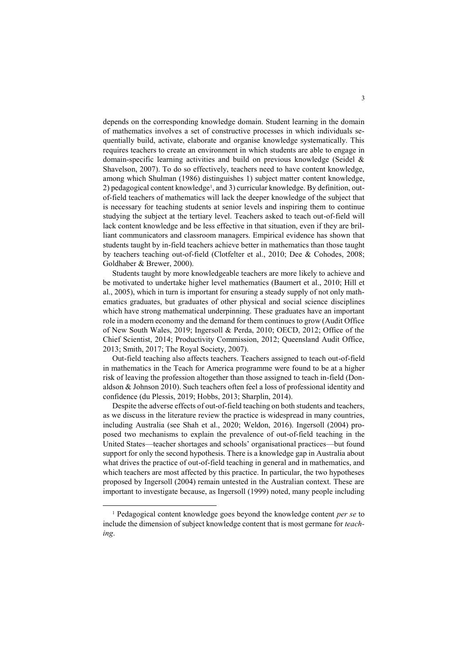depends on the corresponding knowledge domain. Student learning in the domain of mathematics involves a set of constructive processes in which individuals sequentially build, activate, elaborate and organise knowledge systematically. This requires teachers to create an environment in which students are able to engage in domain-specific learning activities and build on previous knowledge (Seidel & Shavelson, 2007). To do so effectively, teachers need to have content knowledge, among which Shulman (1986) distinguishes 1) subject matter content knowledge, 2) pedagogical content knowledge<sup>1</sup>, and 3) curricular knowledge. By definition, outof-field teachers of mathematics will lack the deeper knowledge of the subject that is necessary for teaching students at senior levels and inspiring them to continue studying the subject at the tertiary level. Teachers asked to teach out-of-field will lack content knowledge and be less effective in that situation, even if they are brilliant communicators and classroom managers. Empirical evidence has shown that students taught by in-field teachers achieve better in mathematics than those taught by teachers teaching out-of-field (Clotfelter et al., 2010; Dee & Cohodes, 2008; Goldhaber & Brewer, 2000).

Students taught by more knowledgeable teachers are more likely to achieve and be motivated to undertake higher level mathematics (Baumert et al., 2010; Hill et al., 2005), which in turn is important for ensuring a steady supply of not only mathematics graduates, but graduates of other physical and social science disciplines which have strong mathematical underpinning. These graduates have an important role in a modern economy and the demand for them continues to grow (Audit Office of New South Wales, 2019; Ingersoll & Perda, 2010; OECD, 2012; Office of the Chief Scientist, 2014; Productivity Commission, 2012; Queensland Audit Office, 2013; Smith, 2017; The Royal Society, 2007).

Out-field teaching also affects teachers. Teachers assigned to teach out-of-field in mathematics in the Teach for America programme were found to be at a higher risk of leaving the profession altogether than those assigned to teach in-field (Donaldson & Johnson 2010). Such teachers often feel a loss of professional identity and confidence (du Plessis, 2019; Hobbs, 2013; Sharplin, 2014).

Despite the adverse effects of out-of-field teaching on both students and teachers, as we discuss in the literature review the practice is widespread in many countries, including Australia (see Shah et al., 2020; Weldon, 2016). Ingersoll (2004) proposed two mechanisms to explain the prevalence of out-of-field teaching in the United States—teacher shortages and schools' organisational practices—but found support for only the second hypothesis. There is a knowledge gap in Australia about what drives the practice of out-of-field teaching in general and in mathematics, and which teachers are most affected by this practice. In particular, the two hypotheses proposed by Ingersoll (2004) remain untested in the Australian context. These are important to investigate because, as Ingersoll (1999) noted, many people including

<sup>1</sup> Pedagogical content knowledge goes beyond the knowledge content *per se* to include the dimension of subject knowledge content that is most germane for *teaching*.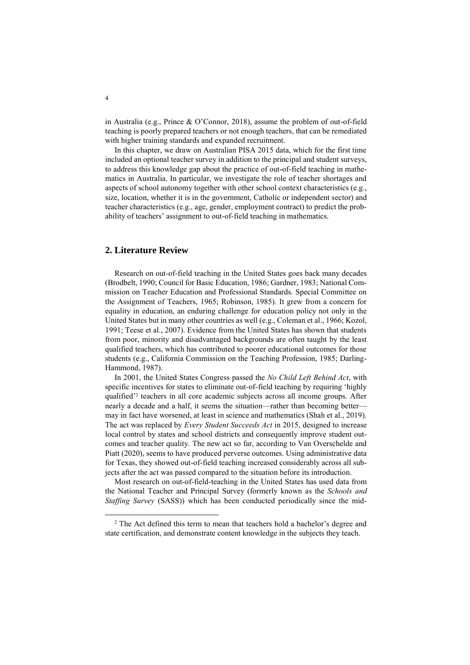in Australia (e.g., Prince & O'Connor, 2018), assume the problem of out-of-field teaching is poorly prepared teachers or not enough teachers, that can be remediated with higher training standards and expanded recruitment.

In this chapter, we draw on Australian PISA 2015 data, which for the first time included an optional teacher survey in addition to the principal and student surveys, to address this knowledge gap about the practice of out-of-field teaching in mathematics in Australia. In particular, we investigate the role of teacher shortages and aspects of school autonomy together with other school context characteristics (e.g., size, location, whether it is in the government, Catholic or independent sector) and teacher characteristics (e.g., age, gender, employment contract) to predict the probability of teachers' assignment to out-of-field teaching in mathematics.

### **2. Literature Review**

Research on out-of-field teaching in the United States goes back many decades (Brodbelt, 1990; Council for Basic Education, 1986; Gardner, 1983; National Commission on Teacher Education and Professional Standards. Special Committee on the Assignment of Teachers, 1965; Robinson, 1985). It grew from a concern for equality in education, an enduring challenge for education policy not only in the United States but in many other countries as well (e.g., Coleman et al., 1966; Kozol, 1991; Teese et al., 2007). Evidence from the United States has shown that students from poor, minority and disadvantaged backgrounds are often taught by the least qualified teachers, which has contributed to poorer educational outcomes for those students (e.g., California Commission on the Teaching Profession, 1985; Darling-Hammond, 1987).

In 2001, the United States Congress passed the *No Child Left Behind Act*, with specific incentives for states to eliminate out-of-field teaching by requiring 'highly qualified'<sup>2</sup> teachers in all core academic subjects across all income groups. After nearly a decade and a half, it seems the situation—rather than becoming better may in fact have worsened, at least in science and mathematics (Shah et al., 2019). The act was replaced by *Every Student Succeeds Act* in 2015, designed to increase local control by states and school districts and consequently improve student outcomes and teacher quality. The new act so far, according to Van Overschelde and Piatt (2020), seems to have produced perverse outcomes. Using administrative data for Texas, they showed out-of-field teaching increased considerably across all subjects after the act was passed compared to the situation before its introduction.

Most research on out-of-field-teaching in the United States has used data from the National Teacher and Principal Survey (formerly known as the *Schools and Staffing Survey* (SASS)) which has been conducted periodically since the mid-

<sup>&</sup>lt;sup>2</sup> The Act defined this term to mean that teachers hold a bachelor's degree and state certification, and demonstrate content knowledge in the subjects they teach.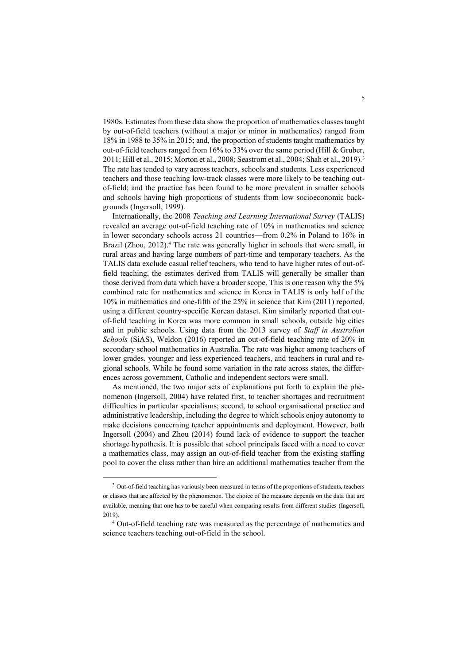1980s. Estimates from these data show the proportion of mathematics classes taught by out-of-field teachers (without a major or minor in mathematics) ranged from 18% in 1988 to 35% in 2015; and, the proportion of students taught mathematics by out-of-field teachers ranged from 16% to 33% over the same period (Hill & Gruber, 2011; Hill et al., 2015; Morton et al., 2008; Seastrom et al., 2004; Shah et al., 2019).<sup>3</sup> The rate has tended to vary across teachers, schools and students. Less experienced teachers and those teaching low-track classes were more likely to be teaching outof-field; and the practice has been found to be more prevalent in smaller schools and schools having high proportions of students from low socioeconomic backgrounds (Ingersoll, 1999).

Internationally, the 2008 *Teaching and Learning International Survey* (TALIS) revealed an average out-of-field teaching rate of 10% in mathematics and science in lower secondary schools across 21 countries—from 0.2% in Poland to 16% in Brazil (Zhou, 2012).<sup>4</sup> The rate was generally higher in schools that were small, in rural areas and having large numbers of part-time and temporary teachers. As the TALIS data exclude casual relief teachers, who tend to have higher rates of out-offield teaching, the estimates derived from TALIS will generally be smaller than those derived from data which have a broader scope. This is one reason why the 5% combined rate for mathematics and science in Korea in TALIS is only half of the 10% in mathematics and one-fifth of the 25% in science that Kim (2011) reported, using a different country-specific Korean dataset. Kim similarly reported that outof-field teaching in Korea was more common in small schools, outside big cities and in public schools. Using data from the 2013 survey of *Staff in Australian Schools* (SiAS), Weldon (2016) reported an out-of-field teaching rate of 20% in secondary school mathematics in Australia. The rate was higher among teachers of lower grades, younger and less experienced teachers, and teachers in rural and regional schools. While he found some variation in the rate across states, the differences across government, Catholic and independent sectors were small.

As mentioned, the two major sets of explanations put forth to explain the phenomenon (Ingersoll, 2004) have related first, to teacher shortages and recruitment difficulties in particular specialisms; second, to school organisational practice and administrative leadership, including the degree to which schools enjoy autonomy to make decisions concerning teacher appointments and deployment. However, both Ingersoll (2004) and Zhou (2014) found lack of evidence to support the teacher shortage hypothesis. It is possible that school principals faced with a need to cover a mathematics class, may assign an out-of-field teacher from the existing staffing pool to cover the class rather than hire an additional mathematics teacher from the

<sup>&</sup>lt;sup>3</sup> Out-of-field teaching has variously been measured in terms of the proportions of students, teachers or classes that are affected by the phenomenon. The choice of the measure depends on the data that are available, meaning that one has to be careful when comparing results from different studies (Ingersoll, 2019).

<sup>4</sup> Out-of-field teaching rate was measured as the percentage of mathematics and science teachers teaching out-of-field in the school.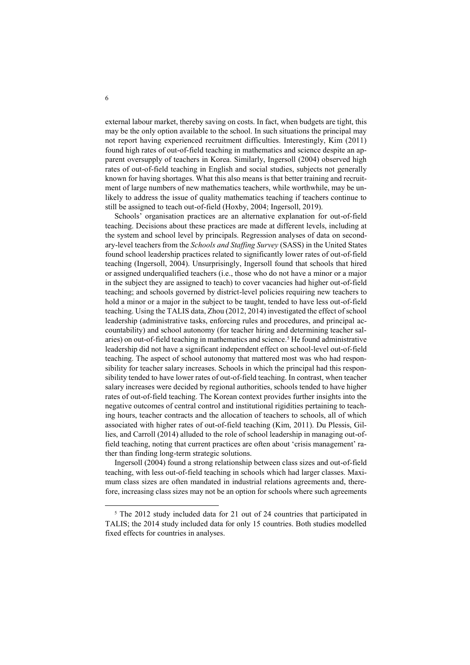external labour market, thereby saving on costs. In fact, when budgets are tight, this may be the only option available to the school. In such situations the principal may not report having experienced recruitment difficulties. Interestingly, Kim (2011) found high rates of out-of-field teaching in mathematics and science despite an apparent oversupply of teachers in Korea. Similarly, Ingersoll (2004) observed high rates of out-of-field teaching in English and social studies, subjects not generally known for having shortages. What this also means is that better training and recruitment of large numbers of new mathematics teachers, while worthwhile, may be unlikely to address the issue of quality mathematics teaching if teachers continue to still be assigned to teach out-of-field (Hoxby, 2004; Ingersoll, 2019).

Schools' organisation practices are an alternative explanation for out-of-field teaching. Decisions about these practices are made at different levels, including at the system and school level by principals. Regression analyses of data on secondary-level teachers from the *Schools and Staffing Survey* (SASS) in the United States found school leadership practices related to significantly lower rates of out-of-field teaching (Ingersoll, 2004). Unsurprisingly, Ingersoll found that schools that hired or assigned underqualified teachers (i.e., those who do not have a minor or a major in the subject they are assigned to teach) to cover vacancies had higher out-of-field teaching; and schools governed by district-level policies requiring new teachers to hold a minor or a major in the subject to be taught, tended to have less out-of-field teaching. Using the TALIS data, Zhou (2012, 2014) investigated the effect of school leadership (administrative tasks, enforcing rules and procedures, and principal accountability) and school autonomy (for teacher hiring and determining teacher salaries) on out-of-field teaching in mathematics and science.<sup>5</sup> He found administrative leadership did not have a significant independent effect on school-level out-of-field teaching. The aspect of school autonomy that mattered most was who had responsibility for teacher salary increases. Schools in which the principal had this responsibility tended to have lower rates of out-of-field teaching. In contrast, when teacher salary increases were decided by regional authorities, schools tended to have higher rates of out-of-field teaching. The Korean context provides further insights into the negative outcomes of central control and institutional rigidities pertaining to teaching hours, teacher contracts and the allocation of teachers to schools, all of which associated with higher rates of out-of-field teaching (Kim, 2011). Du Plessis, Gillies, and Carroll (2014) alluded to the role of school leadership in managing out-offield teaching, noting that current practices are often about 'crisis management' rather than finding long-term strategic solutions.

Ingersoll (2004) found a strong relationship between class sizes and out-of-field teaching, with less out-of-field teaching in schools which had larger classes. Maximum class sizes are often mandated in industrial relations agreements and, therefore, increasing class sizes may not be an option for schools where such agreements

<sup>&</sup>lt;sup>5</sup> The 2012 study included data for 21 out of 24 countries that participated in TALIS; the 2014 study included data for only 15 countries. Both studies modelled fixed effects for countries in analyses.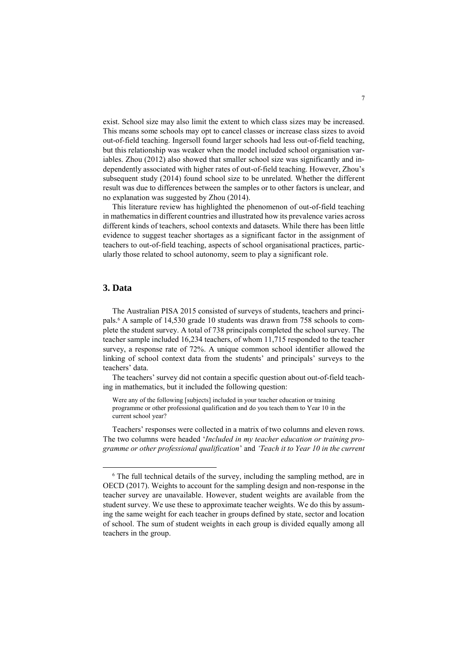exist. School size may also limit the extent to which class sizes may be increased. This means some schools may opt to cancel classes or increase class sizes to avoid out-of-field teaching. Ingersoll found larger schools had less out-of-field teaching, but this relationship was weaker when the model included school organisation variables. Zhou (2012) also showed that smaller school size was significantly and independently associated with higher rates of out-of-field teaching. However, Zhou's subsequent study (2014) found school size to be unrelated. Whether the different result was due to differences between the samples or to other factors is unclear, and no explanation was suggested by Zhou (2014).

This literature review has highlighted the phenomenon of out-of-field teaching in mathematics in different countries and illustrated how its prevalence varies across different kinds of teachers, school contexts and datasets. While there has been little evidence to suggest teacher shortages as a significant factor in the assignment of teachers to out-of-field teaching, aspects of school organisational practices, particularly those related to school autonomy, seem to play a significant role.

### **3. Data**

1

The Australian PISA 2015 consisted of surveys of students, teachers and principals.<sup>6</sup> A sample of 14,530 grade 10 students was drawn from 758 schools to complete the student survey. A total of 738 principals completed the school survey. The teacher sample included 16,234 teachers, of whom 11,715 responded to the teacher survey, a response rate of 72%. A unique common school identifier allowed the linking of school context data from the students' and principals' surveys to the teachers' data.

The teachers' survey did not contain a specific question about out-of-field teaching in mathematics, but it included the following question:

Were any of the following [subjects] included in your teacher education or training programme or other professional qualification and do you teach them to Year 10 in the current school year?

Teachers' responses were collected in a matrix of two columns and eleven rows. The two columns were headed '*Included in my teacher education or training programme or other professional qualification*' and *'Teach it to Year 10 in the current* 

<sup>6</sup> The full technical details of the survey, including the sampling method, are in OECD (2017). Weights to account for the sampling design and non-response in the teacher survey are unavailable. However, student weights are available from the student survey. We use these to approximate teacher weights. We do this by assuming the same weight for each teacher in groups defined by state, sector and location of school. The sum of student weights in each group is divided equally among all teachers in the group.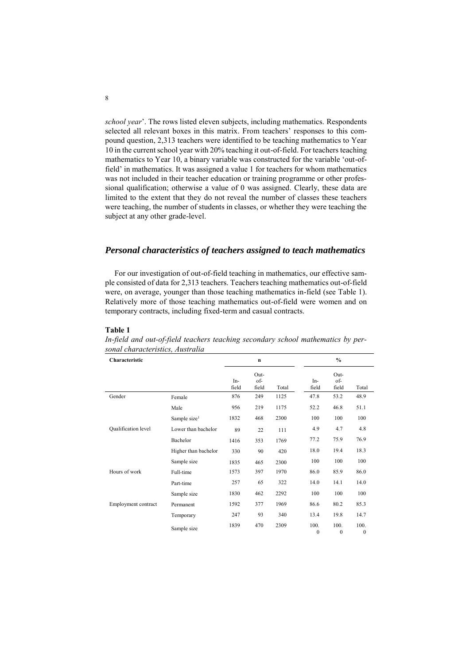*school year*'. The rows listed eleven subjects, including mathematics. Respondents selected all relevant boxes in this matrix. From teachers' responses to this compound question, 2,313 teachers were identified to be teaching mathematics to Year 10 in the current school year with 20% teaching it out-of-field. For teachers teaching mathematics to Year 10, a binary variable was constructed for the variable 'out-offield' in mathematics. It was assigned a value 1 for teachers for whom mathematics was not included in their teacher education or training programme or other professional qualification; otherwise a value of 0 was assigned. Clearly, these data are limited to the extent that they do not reveal the number of classes these teachers were teaching, the number of students in classes, or whether they were teaching the subject at any other grade-level.

# *Personal characteristics of teachers assigned to teach mathematics*

For our investigation of out-of-field teaching in mathematics, our effective sample consisted of data for 2,313 teachers. Teachers teaching mathematics out-of-field were, on average, younger than those teaching mathematics in-field (see Table 1). Relatively more of those teaching mathematics out-of-field were women and on temporary contracts, including fixed-term and casual contracts.

### **Table 1**

| Characteristic      |                          |              | $\mathbf n$          |       |                      | $\frac{0}{0}$        |                      |
|---------------------|--------------------------|--------------|----------------------|-------|----------------------|----------------------|----------------------|
|                     |                          | In-<br>field | Out-<br>of-<br>field | Total | In-<br>field         | Out-<br>of-<br>field | Total                |
| Gender              | Female                   | 876          | 249                  | 1125  | 47.8                 | 53.2                 | 48.9                 |
|                     | Male                     | 956          | 219                  | 1175  | 52.2                 | 46.8                 | 51.1                 |
|                     | Sample size <sup>1</sup> | 1832         | 468                  | 2300  | 100                  | 100                  | 100                  |
| Qualification level | Lower than bachelor      | 89           | 22                   | 111   | 4.9                  | 4.7                  | 4.8                  |
|                     | Bachelor                 | 1416         | 353                  | 1769  | 77.2                 | 75.9                 | 76.9                 |
|                     | Higher than bachelor     | 330          | 90                   | 420   | 18.0                 | 19.4                 | 18.3                 |
|                     | Sample size              | 1835         | 465                  | 2300  | 100                  | 100                  | 100                  |
| Hours of work       | Full-time                | 1573         | 397                  | 1970  | 86.0                 | 85.9                 | 86.0                 |
|                     | Part-time                | 257          | 65                   | 322   | 14.0                 | 14.1                 | 14.0                 |
|                     | Sample size              | 1830         | 462                  | 2292  | 100                  | 100                  | 100                  |
| Employment contract | Permanent                | 1592         | 377                  | 1969  | 86.6                 | 80.2                 | 85.3                 |
|                     | Temporary                | 247          | 93                   | 340   | 13.4                 | 19.8                 | 14.7                 |
|                     | Sample size              | 1839         | 470                  | 2309  | 100.<br>$\mathbf{0}$ | 100.<br>$\mathbf{0}$ | 100.<br>$\mathbf{0}$ |

*In-field and out-of-field teachers teaching secondary school mathematics by personal characteristics, Australia*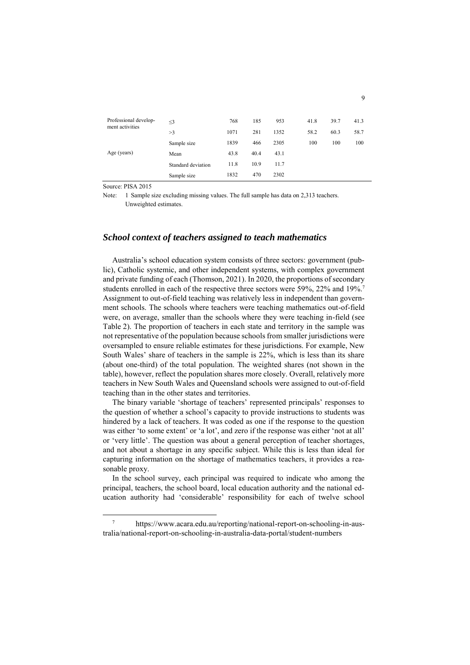| Professional develop-<br>ment activities | $\leq$ 3           | 768  | 185  | 953  | 41.8 | 39.7 | 41.3 |
|------------------------------------------|--------------------|------|------|------|------|------|------|
|                                          | >3                 | 1071 | 281  | 1352 | 58.2 | 60.3 | 58.7 |
|                                          | Sample size        | 1839 | 466  | 2305 | 100  | 100  | 100  |
| Age (years)                              | Mean               | 43.8 | 40.4 | 43.1 |      |      |      |
|                                          | Standard deviation | 11.8 | 10.9 | 11.7 |      |      |      |
|                                          | Sample size        | 1832 | 470  | 2302 |      |      |      |

Source: PISA 2015

1

Note: 1 Sample size excluding missing values. The full sample has data on 2,313 teachers. Unweighted estimates.

# *School context of teachers assigned to teach mathematics*

Australia's school education system consists of three sectors: government (public), Catholic systemic, and other independent systems, with complex government and private funding of each (Thomson, 2021). In 2020, the proportions of secondary students enrolled in each of the respective three sectors were 59%, 22% and 19%.<sup>7</sup> Assignment to out-of-field teaching was relatively less in independent than government schools. The schools where teachers were teaching mathematics out-of-field were, on average, smaller than the schools where they were teaching in-field (see Table 2). The proportion of teachers in each state and territory in the sample was not representative of the population because schools from smaller jurisdictions were oversampled to ensure reliable estimates for these jurisdictions. For example, New South Wales' share of teachers in the sample is 22%, which is less than its share (about one-third) of the total population. The weighted shares (not shown in the table), however, reflect the population shares more closely. Overall, relatively more teachers in New South Wales and Queensland schools were assigned to out-of-field teaching than in the other states and territories.

The binary variable 'shortage of teachers' represented principals' responses to the question of whether a school's capacity to provide instructions to students was hindered by a lack of teachers. It was coded as one if the response to the question was either 'to some extent' or 'a lot', and zero if the response was either 'not at all' or 'very little'. The question was about a general perception of teacher shortages, and not about a shortage in any specific subject. While this is less than ideal for capturing information on the shortage of mathematics teachers, it provides a reasonable proxy.

In the school survey, each principal was required to indicate who among the principal, teachers, the school board, local education authority and the national education authority had 'considerable' responsibility for each of twelve school

<sup>7</sup> https://www.acara.edu.au/reporting/national-report-on-schooling-in-australia/national-report-on-schooling-in-australia-data-portal/student-numbers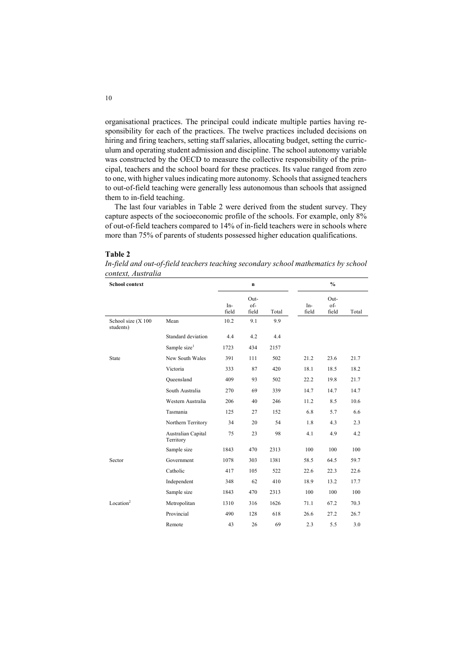organisational practices. The principal could indicate multiple parties having responsibility for each of the practices. The twelve practices included decisions on hiring and firing teachers, setting staff salaries, allocating budget, setting the curriculum and operating student admission and discipline. The school autonomy variable was constructed by the OECD to measure the collective responsibility of the principal, teachers and the school board for these practices. Its value ranged from zero to one, with higher values indicating more autonomy. Schools that assigned teachers to out-of-field teaching were generally less autonomous than schools that assigned them to in-field teaching.

The last four variables in Table 2 were derived from the student survey. They capture aspects of the socioeconomic profile of the schools. For example, only 8% of out-of-field teachers compared to 14% of in-field teachers were in schools where more than 75% of parents of students possessed higher education qualifications.

### **Table 2**

*In-field and out-of-field teachers teaching secondary school mathematics by school context, Australia*

| <b>School context</b>           | n                               |              |                      |       | $\frac{0}{0}$ |                      |       |
|---------------------------------|---------------------------------|--------------|----------------------|-------|---------------|----------------------|-------|
|                                 |                                 | In-<br>field | Out-<br>of-<br>field | Total | In-<br>field  | Out-<br>of-<br>field | Total |
| School size (X 100<br>students) | Mean                            | 10.2         | 9.1                  | 9.9   |               |                      |       |
|                                 | Standard deviation              | 4.4          | 4.2                  | 4.4   |               |                      |       |
|                                 | Sample size <sup>1</sup>        | 1723         | 434                  | 2157  |               |                      |       |
| State                           | New South Wales                 | 391          | 111                  | 502   | 21.2          | 23.6                 | 21.7  |
|                                 | Victoria                        | 333          | 87                   | 420   | 18.1          | 18.5                 | 18.2  |
|                                 | Queensland                      | 409          | 93                   | 502   | 22.2          | 19.8                 | 21.7  |
|                                 | South Australia                 | 270          | 69                   | 339   | 14.7          | 14.7                 | 14.7  |
|                                 | Western Australia               | 206          | 40                   | 246   | 11.2          | 8.5                  | 10.6  |
|                                 | Tasmania                        | 125          | 27                   | 152   | 6.8           | 5.7                  | 6.6   |
|                                 | Northern Territory              | 34           | 20                   | 54    | 1.8           | 4.3                  | 2.3   |
|                                 | Australian Capital<br>Territory | 75           | 23                   | 98    | 4.1           | 4.9                  | 4.2   |
|                                 | Sample size                     | 1843         | 470                  | 2313  | 100           | 100                  | 100   |
| Sector                          | Government                      | 1078         | 303                  | 1381  | 58.5          | 64.5                 | 59.7  |
|                                 | Catholic                        | 417          | 105                  | 522   | 22.6          | 22.3                 | 22.6  |
|                                 | Independent                     | 348          | 62                   | 410   | 18.9          | 13.2                 | 17.7  |
|                                 | Sample size                     | 1843         | 470                  | 2313  | 100           | 100                  | 100   |
| Location <sup>2</sup>           | Metropolitan                    | 1310         | 316                  | 1626  | 71.1          | 67.2                 | 70.3  |
|                                 | Provincial                      | 490          | 128                  | 618   | 26.6          | 27.2                 | 26.7  |
|                                 | Remote                          | 43           | 26                   | 69    | 2.3           | 5.5                  | 3.0   |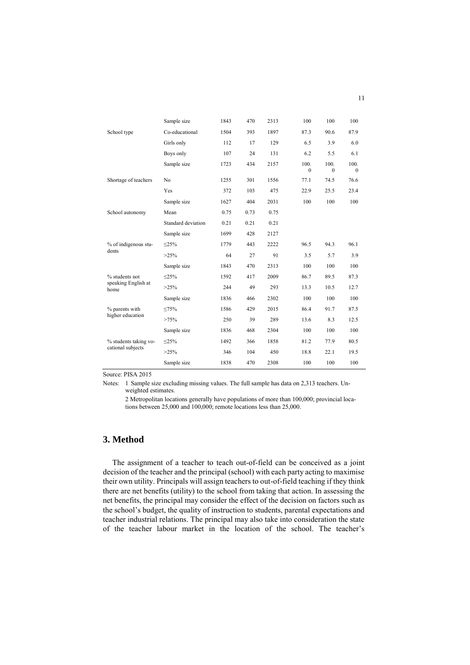|                             | Sample size        | 1843 | 470  | 2313 | 100                  | 100                  | 100                  |
|-----------------------------|--------------------|------|------|------|----------------------|----------------------|----------------------|
| School type                 | Co-educational     | 1504 | 393  | 1897 | 87.3                 | 90.6                 | 87.9                 |
|                             | Girls only         | 112  | 17   | 129  | 6.5                  | 3.9                  | 6.0                  |
|                             | Boys only          | 107  | 24   | 131  | 6.2                  | 5.5                  | 6.1                  |
|                             | Sample size        | 1723 | 434  | 2157 | 100.<br>$\mathbf{0}$ | 100.<br>$\mathbf{0}$ | 100.<br>$\mathbf{0}$ |
| Shortage of teachers        | No                 | 1255 | 301  | 1556 | 77.1                 | 74.5                 | 76.6                 |
|                             | Yes                | 372  | 103  | 475  | 22.9                 | 25.5                 | 23.4                 |
|                             | Sample size        | 1627 | 404  | 2031 | 100                  | 100                  | 100                  |
| School autonomy             | Mean               | 0.75 | 0.73 | 0.75 |                      |                      |                      |
|                             | Standard deviation | 0.21 | 0.21 | 0.21 |                      |                      |                      |
|                             | Sample size        | 1699 | 428  | 2127 |                      |                      |                      |
| % of indigenous stu-        | <25%               | 1779 | 443  | 2222 | 96.5                 | 94.3                 | 96.1                 |
| dents                       | $>25\%$            | 64   | 27   | 91   | 3.5                  | 5.7                  | 3.9                  |
|                             | Sample size        | 1843 | 470  | 2313 | 100                  | 100                  | 100                  |
| % students not              | $\leq$ 25%         | 1592 | 417  | 2009 | 86.7                 | 89.5                 | 87.3                 |
| speaking English at<br>home | $>25\%$            | 244  | 49   | 293  | 13.3                 | 10.5                 | 12.7                 |
|                             | Sample size        | 1836 | 466  | 2302 | 100                  | 100                  | 100                  |
| % parents with              | ≤75%               | 1586 | 429  | 2015 | 86.4                 | 91.7                 | 87.5                 |
| higher education            | >75%               | 250  | 39   | 289  | 13.6                 | 8.3                  | 12.5                 |
|                             | Sample size        | 1836 | 468  | 2304 | 100                  | 100                  | 100                  |
| % students taking vo-       | $\leq$ 25%         | 1492 | 366  | 1858 | 81.2                 | 77.9                 | 80.5                 |
| cational subjects           | $>25\%$            | 346  | 104  | 450  | 18.8                 | 22.1                 | 19.5                 |
|                             | Sample size        | 1838 | 470  | 2308 | 100                  | 100                  | 100                  |

Source: PISA 2015

Notes: 1 Sample size excluding missing values. The full sample has data on 2,313 teachers. Unweighted estimates.

2 Metropolitan locations generally have populations of more than 100,000; provincial locations between 25,000 and 100,000; remote locations less than 25,000.

# **3. Method**

The assignment of a teacher to teach out-of-field can be conceived as a joint decision of the teacher and the principal (school) with each party acting to maximise their own utility. Principals will assign teachers to out-of-field teaching if they think there are net benefits (utility) to the school from taking that action. In assessing the net benefits, the principal may consider the effect of the decision on factors such as the school's budget, the quality of instruction to students, parental expectations and teacher industrial relations. The principal may also take into consideration the state of the teacher labour market in the location of the school. The teacher's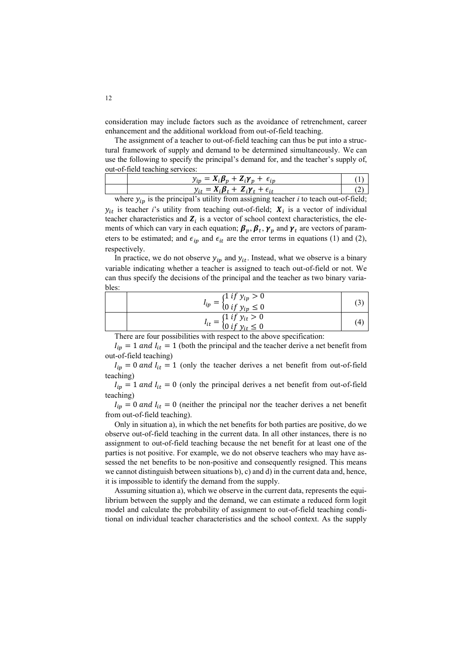consideration may include factors such as the avoidance of retrenchment, career enhancement and the additional workload from out-of-field teaching.

The assignment of a teacher to out-of-field teaching can thus be put into a structural framework of supply and demand to be determined simultaneously. We can use the following to specify the principal's demand for, and the teacher's supply of, out-of-field teaching services:

| $ -$<br>$X_i \mathcal{B}_n + Z_i \mathcal{V}_n + \epsilon_{in}$<br>$v_{in}$ |  |
|-----------------------------------------------------------------------------|--|
| $7.8 + 7. \nu$ .                                                            |  |

where  $y_{ip}$  is the principal's utility from assigning teacher *i* to teach out-of-field;  $y_{it}$  is teacher *i*'s utility from teaching out-of-field;  $X_i$  is a vector of individual teacher characteristics and  $\mathbf{Z}_i$  is a vector of school context characteristics, the elements of which can vary in each equation;  $\beta_p$ ,  $\beta_t$ ,  $\gamma_p$  and  $\gamma_t$  are vectors of parameters to be estimated; and  $\epsilon_{ip}$  and  $\epsilon_{it}$  are the error terms in equations (1) and (2), respectively.

In practice, we do not observe  $y_{in}$  and  $y_{it}$ . Instead, what we observe is a binary variable indicating whether a teacher is assigned to teach out-of-field or not. We can thus specify the decisions of the principal and the teacher as two binary variables:

| $I_{ip} = \begin{cases} 1 & \text{if } y_{ip} > 0 \\ 0 & \text{if } y_{ip} \le 0 \end{cases}$ |    |
|-----------------------------------------------------------------------------------------------|----|
| $I_{it} = \begin{cases} 1 \text{ if } y_{it} > 0 \\ 0 \text{ if } y_{it} \leq 0 \end{cases}$  | (4 |

There are four possibilities with respect to the above specification:

 $I_{ip} = 1$  and  $I_{it} = 1$  (both the principal and the teacher derive a net benefit from out-of-field teaching)

 $I_{ip} = 0$  and  $I_{it} = 1$  (only the teacher derives a net benefit from out-of-field teaching)

 $I_{in} = 1$  and  $I_{it} = 0$  (only the principal derives a net benefit from out-of-field teaching)

 $I_{in} = 0$  and  $I_{it} = 0$  (neither the principal nor the teacher derives a net benefit from out-of-field teaching).

Only in situation a), in which the net benefits for both parties are positive, do we observe out-of-field teaching in the current data. In all other instances, there is no assignment to out-of-field teaching because the net benefit for at least one of the parties is not positive. For example, we do not observe teachers who may have assessed the net benefits to be non-positive and consequently resigned. This means we cannot distinguish between situations b), c) and d) in the current data and, hence, it is impossible to identify the demand from the supply.

Assuming situation a), which we observe in the current data, represents the equilibrium between the supply and the demand, we can estimate a reduced form logit model and calculate the probability of assignment to out-of-field teaching conditional on individual teacher characteristics and the school context. As the supply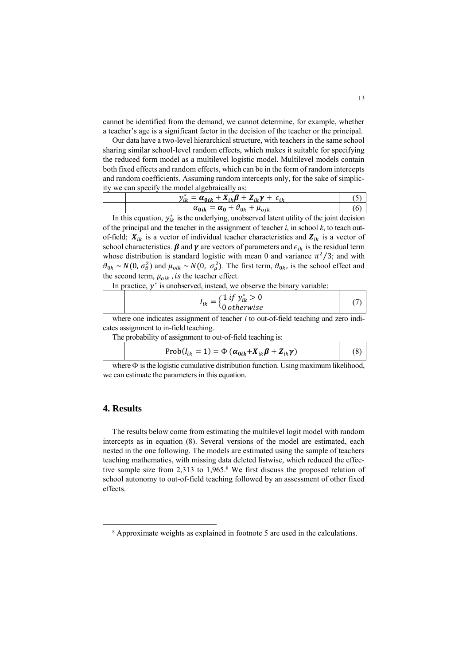cannot be identified from the demand, we cannot determine, for example, whether a teacher's age is a significant factor in the decision of the teacher or the principal.

Our data have a two-level hierarchical structure, with teachers in the same school sharing similar school-level random effects, which makes it suitable for specifying the reduced form model as a multilevel logistic model. Multilevel models contain both fixed effects and random effects, which can be in the form of random intercepts and random coefficients. Assuming random intercepts only, for the sake of simplicity we can specify the model algebraically as:

| $= \alpha_{0ik} + X_{ik}\beta + Z_{ik}\gamma + \epsilon_{ik}$<br>$v_{\alpha}$ |  |
|-------------------------------------------------------------------------------|--|
| $\alpha_{\mathbf{0}} + \vartheta_{0k} + \mu_{oik}$<br>$\alpha_{0ik}$          |  |

In this equation,  $y_{ik}^*$  is the underlying, unobserved latent utility of the joint decision of the principal and the teacher in the assignment of teacher *i*, in school *k*, to teach outof-field;  $X_{ik}$  is a vector of individual teacher characteristics and  $Z_{ik}$  is a vector of school characteristics.  $\beta$  and  $\gamma$  are vectors of parameters and  $\epsilon_{ik}$  is the residual term whose distribution is standard logistic with mean 0 and variance  $\pi^2/3$ ; and with  $\vartheta_{0k} \sim N(0, \sigma_{\vartheta}^2)$  and  $\mu_{oik} \sim N(0, \sigma_{\mu}^2)$ . The first term,  $\vartheta_{0k}$ , is the school effect and the second term,  $\mu_{oik}$ , is the teacher effect.

In practice,  $y^*$  is unobserved, instead, we observe the binary variable:

$$
I_{ik} = \begin{cases} 1 \text{ if } y_{ik}^* > 0\\ 0 \text{ otherwise} \end{cases}
$$
 (7)

where one indicates assignment of teacher *i* to out-of-field teaching and zero indicates assignment to in-field teaching.

The probability of assignment to out-of-field teaching is:

$$
Prob(I_{ik} = 1) = \Phi (\alpha_{0ik} + X_{ik}\beta + Z_{ik}\gamma)
$$
 (8)

where  $\Phi$  is the logistic cumulative distribution function. Using maximum likelihood, we can estimate the parameters in this equation.

### **4. Results**

 $\overline{a}$ 

The results below come from estimating the multilevel logit model with random intercepts as in equation (8). Several versions of the model are estimated, each nested in the one following. The models are estimated using the sample of teachers teaching mathematics, with missing data deleted listwise, which reduced the effective sample size from 2,313 to 1,965.<sup>8</sup> We first discuss the proposed relation of school autonomy to out-of-field teaching followed by an assessment of other fixed effects.

<sup>8</sup> Approximate weights as explained in footnote 5 are used in the calculations.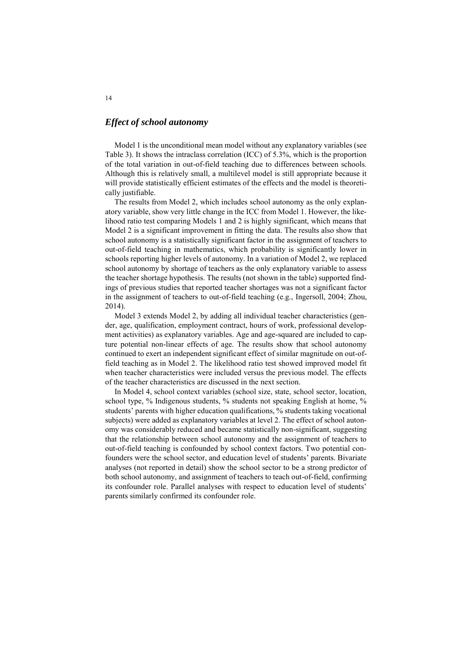### *Effect of school autonomy*

Model 1 is the unconditional mean model without any explanatory variables (see Table 3). It shows the intraclass correlation (ICC) of 5.3%, which is the proportion of the total variation in out-of-field teaching due to differences between schools. Although this is relatively small, a multilevel model is still appropriate because it will provide statistically efficient estimates of the effects and the model is theoretically justifiable.

The results from Model 2, which includes school autonomy as the only explanatory variable, show very little change in the ICC from Model 1. However, the likelihood ratio test comparing Models 1 and 2 is highly significant, which means that Model 2 is a significant improvement in fitting the data. The results also show that school autonomy is a statistically significant factor in the assignment of teachers to out-of-field teaching in mathematics, which probability is significantly lower in schools reporting higher levels of autonomy. In a variation of Model 2, we replaced school autonomy by shortage of teachers as the only explanatory variable to assess the teacher shortage hypothesis. The results (not shown in the table) supported findings of previous studies that reported teacher shortages was not a significant factor in the assignment of teachers to out-of-field teaching (e.g., Ingersoll, 2004; Zhou, 2014).

Model 3 extends Model 2, by adding all individual teacher characteristics (gender, age, qualification, employment contract, hours of work, professional development activities) as explanatory variables. Age and age-squared are included to capture potential non-linear effects of age. The results show that school autonomy continued to exert an independent significant effect of similar magnitude on out-offield teaching as in Model 2. The likelihood ratio test showed improved model fit when teacher characteristics were included versus the previous model. The effects of the teacher characteristics are discussed in the next section.

In Model 4, school context variables (school size, state, school sector, location, school type, % Indigenous students, % students not speaking English at home, % students' parents with higher education qualifications, % students taking vocational subjects) were added as explanatory variables at level 2. The effect of school autonomy was considerably reduced and became statistically non-significant, suggesting that the relationship between school autonomy and the assignment of teachers to out-of-field teaching is confounded by school context factors. Two potential confounders were the school sector, and education level of students' parents. Bivariate analyses (not reported in detail) show the school sector to be a strong predictor of both school autonomy, and assignment of teachers to teach out-of-field, confirming its confounder role. Parallel analyses with respect to education level of students' parents similarly confirmed its confounder role.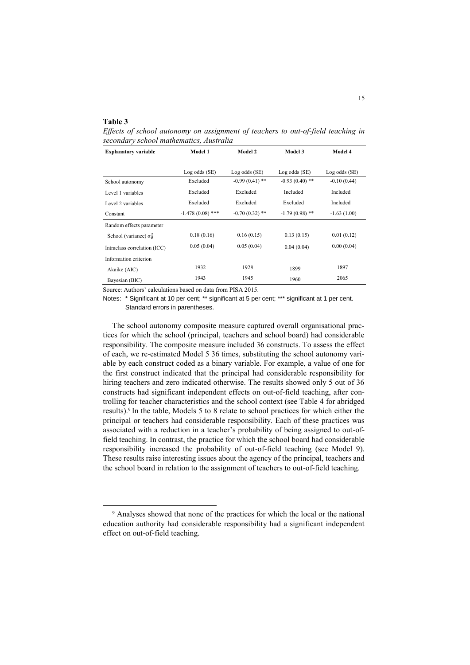#### **Table 3**

1

*Effects of school autonomy on assignment of teachers to out-of-field teaching in secondary school mathematics, Australia*

| <b>Explanatory variable</b>              | Model 1            | Model 2          | Model 3          | Model 4       |
|------------------------------------------|--------------------|------------------|------------------|---------------|
|                                          | Log odds (SE)      | Log odds (SE)    | Log odds (SE)    | Log odds (SE) |
| School autonomy                          | Excluded           | $-0.99(0.41)$ ** | $-0.93(0.40)$ ** | $-0.10(0.44)$ |
| Level 1 variables                        | Excluded           | Excluded         | Included         | Included      |
| Level 2 variables                        | Excluded           | Excluded         | Excluded         | Included      |
| Constant                                 | $-1.478(0.08)$ *** | $-0.70(0.32)$ ** | $-1.79(0.98)$ ** | $-1.63(1.00)$ |
| Random effects parameter                 |                    |                  |                  |               |
| School (variance) $\sigma_{\vartheta}^2$ | 0.18(0.16)         | 0.16(0.15)       | 0.13(0.15)       | 0.01(0.12)    |
| Intraclass correlation (ICC)             | 0.05(0.04)         | 0.05(0.04)       | 0.04(0.04)       | 0.00(0.04)    |
| Information criterion                    |                    |                  |                  |               |
| Akaike (AIC)                             | 1932               | 1928             | 1899             | 1897          |
| Bayesian (BIC)                           | 1943               | 1945             | 1960             | 2065          |

Source: Authors' calculations based on data from PISA 2015.

Notes: \* Significant at 10 per cent; \*\* significant at 5 per cent; \*\*\* significant at 1 per cent. Standard errors in parentheses.

The school autonomy composite measure captured overall organisational practices for which the school (principal, teachers and school board) had considerable responsibility. The composite measure included 36 constructs. To assess the effect of each, we re-estimated Model 5 36 times, substituting the school autonomy variable by each construct coded as a binary variable. For example, a value of one for the first construct indicated that the principal had considerable responsibility for hiring teachers and zero indicated otherwise. The results showed only 5 out of 36 constructs had significant independent effects on out-of-field teaching, after controlling for teacher characteristics and the school context (see Table 4 for abridged results).<sup>9</sup> In the table, Models 5 to 8 relate to school practices for which either the principal or teachers had considerable responsibility. Each of these practices was associated with a reduction in a teacher's probability of being assigned to out-offield teaching. In contrast, the practice for which the school board had considerable responsibility increased the probability of out-of-field teaching (see Model 9). These results raise interesting issues about the agency of the principal, teachers and the school board in relation to the assignment of teachers to out-of-field teaching.

<sup>9</sup> Analyses showed that none of the practices for which the local or the national education authority had considerable responsibility had a significant independent effect on out-of-field teaching.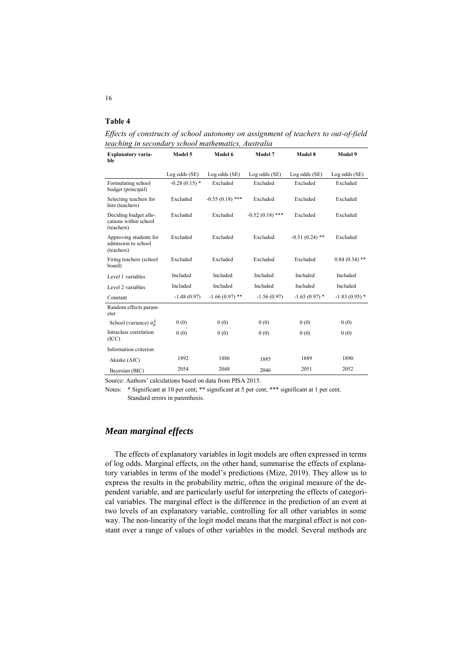### **Table 4**

*Effects of constructs of school autonomy on assignment of teachers to out-of-field teaching in secondary school mathematics, Australia*

| <b>Explanatory varia-</b><br>ble                             | Model 5         | Model 6           | Model 7           | Model 8          | Model 9         |
|--------------------------------------------------------------|-----------------|-------------------|-------------------|------------------|-----------------|
|                                                              | Log odds (SE)   | Log odds (SE)     | Log odds (SE)     | Log odds (SE)    | Log odds (SE)   |
| Formulating school<br>budget (principal)                     | $-0.28(0.15)$ * | Excluded          | Excluded          | Excluded         | Excluded        |
| Selecting teachers for<br>hire (teachers)                    | Excluded        | $-0.55(0.18)$ *** | Excluded          | Excluded         | Excluded        |
| Deciding budget allo-<br>cations within school<br>(teachers) | Excluded        | Excluded          | $-0.52(0.18)$ *** | Excluded         | Excluded        |
| Approving students for<br>admission to school<br>(teachers)  | Excluded        | Excluded          | Excluded          | $-0.51(0.24)$ ** | Excluded        |
| Firing teachers (school<br>board)                            | Excluded        | Excluded          | Excluded          | Excluded         | $0.84(0.34)$ ** |
| Level 1 variables                                            | Included        | Included          | Included          | Included         | Included        |
| Level 2 variables                                            | Included        | Included          | Included          | Included         | Included        |
| Constant                                                     | $-1.48(0.97)$   | $-1.66(0.97)$ **  | $-1.56(0.97)$     | $-1.65(0.97)$ *  | $-1.83(0.95)$ * |
| Random effects param-<br>eter                                |                 |                   |                   |                  |                 |
| School (variance) $\sigma_{\theta}^2$                        | 0(0)            | 0(0)              | 0(0)              | 0(0)             | 0(0)            |
| Intraclass correlation<br>(ICC)                              | 0(0)            | 0(0)              | 0(0)              | 0(0)             |                 |
| Information criterion                                        |                 |                   |                   |                  |                 |
| Akaike (AIC)                                                 | 1892            | 1886              | 1885              | 1889             | 1890            |
| Bayesian (BIC)                                               | 2054            | 2048              | 2046              | 2051             | 2052            |

Source: Authors' calculations based on data from PISA 2015.

Notes: \* Significant at 10 per cent; \*\* significant at 5 per cent; \*\*\* significant at 1 per cent. Standard errors in parenthesis.

# *Mean marginal effects*

The effects of explanatory variables in logit models are often expressed in terms of log odds. Marginal effects, on the other hand, summarise the effects of explanatory variables in terms of the model's predictions (Mize, 2019). They allow us to express the results in the probability metric, often the original measure of the dependent variable, and are particularly useful for interpreting the effects of categorical variables. The marginal effect is the difference in the prediction of an event at two levels of an explanatory variable, controlling for all other variables in some way. The non-linearity of the logit model means that the marginal effect is not constant over a range of values of other variables in the model. Several methods are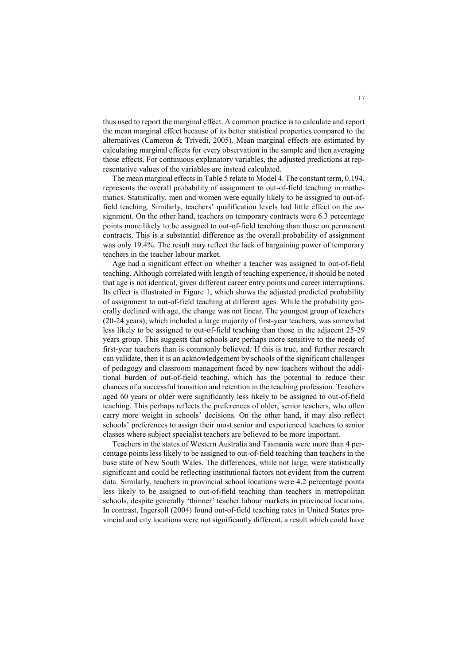thus used to report the marginal effect. A common practice is to calculate and report the mean marginal effect because of its better statistical properties compared to the alternatives (Cameron & Trivedi, 2005). Mean marginal effects are estimated by calculating marginal effects for every observation in the sample and then averaging those effects. For continuous explanatory variables, the adjusted predictions at representative values of the variables are instead calculated.

The mean marginal effects in Table 5 relate to Model 4. The constant term, 0.194, represents the overall probability of assignment to out-of-field teaching in mathematics. Statistically, men and women were equally likely to be assigned to out-offield teaching. Similarly, teachers' qualification levels had little effect on the assignment. On the other hand, teachers on temporary contracts were 6.3 percentage points more likely to be assigned to out-of-field teaching than those on permanent contracts. This is a substantial difference as the overall probability of assignment was only 19.4%. The result may reflect the lack of bargaining power of temporary teachers in the teacher labour market.

Age had a significant effect on whether a teacher was assigned to out-of-field teaching. Although correlated with length of teaching experience, it should be noted that age is not identical, given different career entry points and career interruptions. Its effect is illustrated in Figure 1, which shows the adjusted predicted probability of assignment to out-of-field teaching at different ages. While the probability generally declined with age, the change was not linear. The youngest group of teachers (20-24 years), which included a large majority of first-year teachers, was somewhat less likely to be assigned to out-of-field teaching than those in the adjacent 25-29 years group. This suggests that schools are perhaps more sensitive to the needs of first-year teachers than is commonly believed. If this is true, and further research can validate, then it is an acknowledgement by schools of the significant challenges of pedagogy and classroom management faced by new teachers without the additional burden of out-of-field teaching, which has the potential to reduce their chances of a successful transition and retention in the teaching profession. Teachers aged 60 years or older were significantly less likely to be assigned to out-of-field teaching. This perhaps reflects the preferences of older, senior teachers, who often carry more weight in schools' decisions. On the other hand, it may also reflect schools' preferences to assign their most senior and experienced teachers to senior classes where subject specialist teachers are believed to be more important.

Teachers in the states of Western Australia and Tasmania were more than 4 percentage points less likely to be assigned to out-of-field teaching than teachers in the base state of New South Wales. The differences, while not large, were statistically significant and could be reflecting institutional factors not evident from the current data. Similarly, teachers in provincial school locations were 4.2 percentage points less likely to be assigned to out-of-field teaching than teachers in metropolitan schools, despite generally 'thinner' teacher labour markets in provincial locations. In contrast, Ingersoll (2004) found out-of-field teaching rates in United States provincial and city locations were not significantly different, a result which could have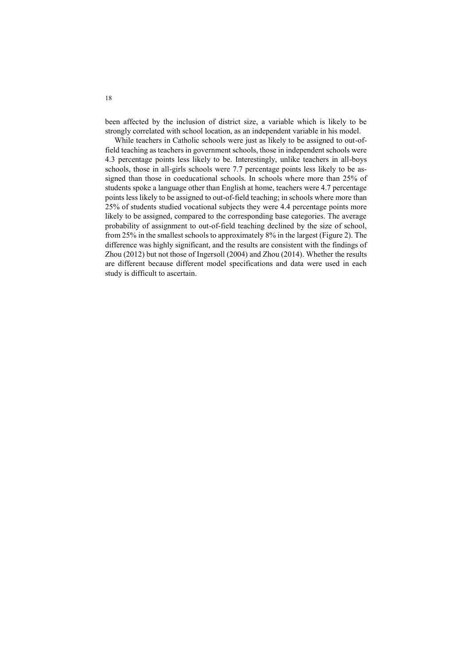been affected by the inclusion of district size, a variable which is likely to be strongly correlated with school location, as an independent variable in his model.

While teachers in Catholic schools were just as likely to be assigned to out-offield teaching as teachers in government schools, those in independent schools were 4.3 percentage points less likely to be. Interestingly, unlike teachers in all-boys schools, those in all-girls schools were 7.7 percentage points less likely to be assigned than those in coeducational schools. In schools where more than 25% of students spoke a language other than English at home, teachers were 4.7 percentage points less likely to be assigned to out-of-field teaching; in schools where more than 25% of students studied vocational subjects they were 4.4 percentage points more likely to be assigned, compared to the corresponding base categories. The average probability of assignment to out-of-field teaching declined by the size of school, from 25% in the smallest schools to approximately 8% in the largest (Figure 2). The difference was highly significant, and the results are consistent with the findings of Zhou (2012) but not those of Ingersoll (2004) and Zhou (2014). Whether the results are different because different model specifications and data were used in each study is difficult to ascertain.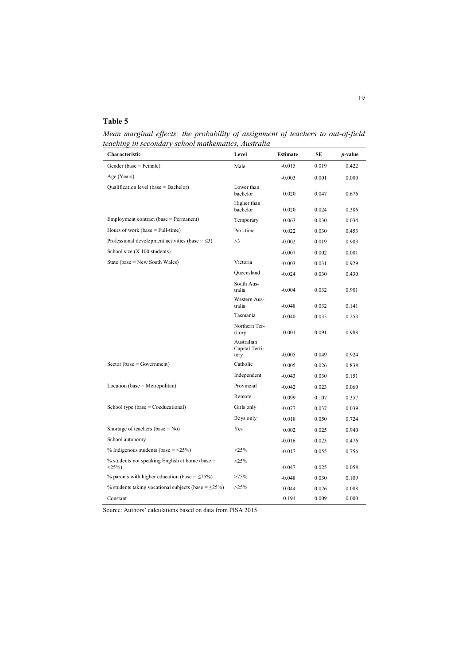# **Table 5**

*Mean marginal effects: the probability of assignment of teachers to out-of-field teaching in secondary school mathematics, Australia* L

| Characteristic                                                     | Level                                | <b>Estimate</b> | SE    | <i>p</i> -value |
|--------------------------------------------------------------------|--------------------------------------|-----------------|-------|-----------------|
| Gender (base = Female)                                             | Male                                 | $-0.015$        | 0.019 | 0.422           |
| Age (Years)                                                        |                                      | $-0.003$        | 0.001 | 0.000           |
| Qualification level (base = Bachelor)                              | Lower than<br>bachelor               | 0.020           | 0.047 | 0.676           |
|                                                                    | Higher than<br>bachelor              | 0.020           | 0.024 | 0.386           |
| Employment contract (base = Permanent)                             | Temporary                            | 0.063           | 0.030 | 0.034           |
| Hours of work (base $=$ Full-time)                                 | Part-time                            | 0.022           | 0.030 | 0.453           |
| Professional development activities (base = $\leq$ 3)              | >3                                   | $-0.002$        | 0.019 | 0.903           |
| School size $(X 100$ students)                                     |                                      | $-0.007$        | 0.002 | 0.001           |
| State (base = $New South Wales$ )                                  | Victoria                             | $-0.003$        | 0.031 | 0.929           |
|                                                                    | Oueensland                           | $-0.024$        | 0.030 | 0.430           |
|                                                                    | South Aus-<br>tralia                 | $-0.004$        | 0.032 | 0.901           |
|                                                                    | Western Aus-<br>tralia               | $-0.048$        | 0.032 | 0.141           |
|                                                                    | Tasmania                             | $-0.040$        | 0.035 | 0.253           |
|                                                                    | Northern Ter-<br>ritory              | 0.001           | 0.091 | 0.988           |
|                                                                    | Australian<br>Capital Terri-<br>tory | $-0.005$        | 0.049 | 0.924           |
| $Sector (base = Government)$                                       | Catholic                             | 0.005           | 0.026 | 0.838           |
|                                                                    | Independent                          | $-0.043$        | 0.030 | 0.151           |
| Location (base = Metropolitan)                                     | Provincial                           | $-0.042$        | 0.023 | 0.060           |
|                                                                    | Remote                               | 0.099           | 0.107 | 0.357           |
| School type (base $=$ Coeducational)                               | Girls only                           | $-0.077$        | 0.037 | 0.039           |
|                                                                    | Boys only                            | 0.018           | 0.050 | 0.724           |
| Shortage of teachers (base $= No$ )                                | <b>Yes</b>                           | 0.002           | 0.025 | 0.940           |
| School autonomy                                                    |                                      | $-0.016$        | 0.023 | 0.476           |
| % Indigenous students (base = $\leq$ 25%)                          | $>25\%$                              | $-0.017$        | 0.055 | 0.756           |
| $%$ students not speaking English at home (base $=$<br>$\leq$ 25%) | $>25\%$                              | $-0.047$        | 0.025 | 0.058           |
| % parents with higher education (base = $\leq$ 75%)                | >75%                                 | $-0.048$        | 0.030 | 0.109           |
| % students taking vocational subjects (base = $\leq$ 25%)          | $>25\%$                              | 0.044           | 0.026 | 0.088           |
| Constant                                                           |                                      | 0.194           | 0.009 | 0.000           |

Source: Authors' calculations based on data from PISA 2015.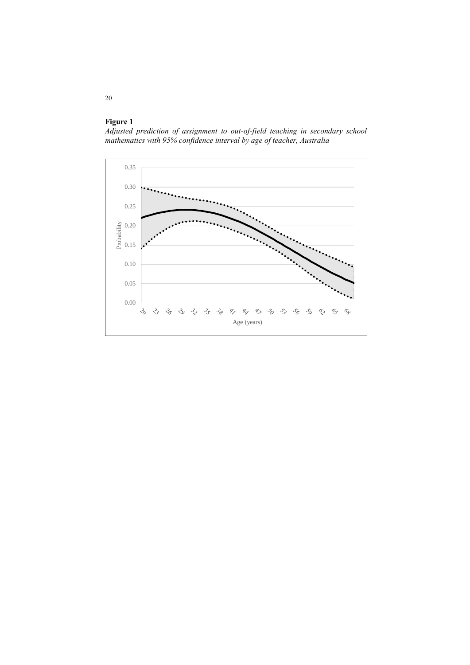

*Adjusted prediction of assignment to out-of-field teaching in secondary school mathematics with 95% confidence interval by age of teacher, Australia*

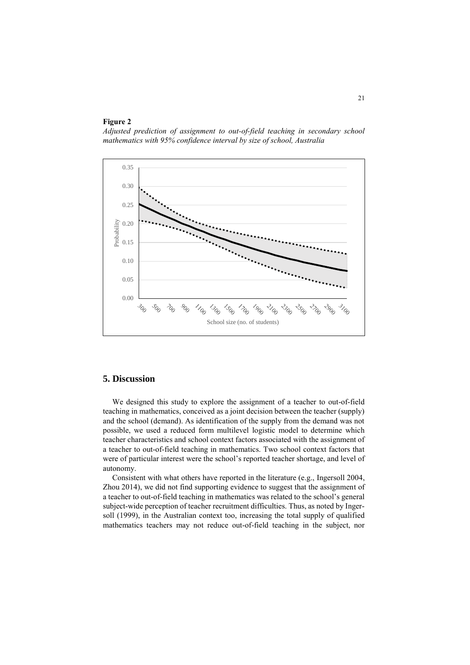### **Figure 2**

*Adjusted prediction of assignment to out-of-field teaching in secondary school mathematics with 95% confidence interval by size of school, Australia*



# **5. Discussion**

We designed this study to explore the assignment of a teacher to out-of-field teaching in mathematics, conceived as a joint decision between the teacher (supply) and the school (demand). As identification of the supply from the demand was not possible, we used a reduced form multilevel logistic model to determine which teacher characteristics and school context factors associated with the assignment of a teacher to out-of-field teaching in mathematics. Two school context factors that were of particular interest were the school's reported teacher shortage, and level of autonomy.

Consistent with what others have reported in the literature (e.g., Ingersoll 2004, Zhou 2014), we did not find supporting evidence to suggest that the assignment of a teacher to out-of-field teaching in mathematics was related to the school's general subject-wide perception of teacher recruitment difficulties. Thus, as noted by Ingersoll (1999), in the Australian context too, increasing the total supply of qualified mathematics teachers may not reduce out-of-field teaching in the subject, nor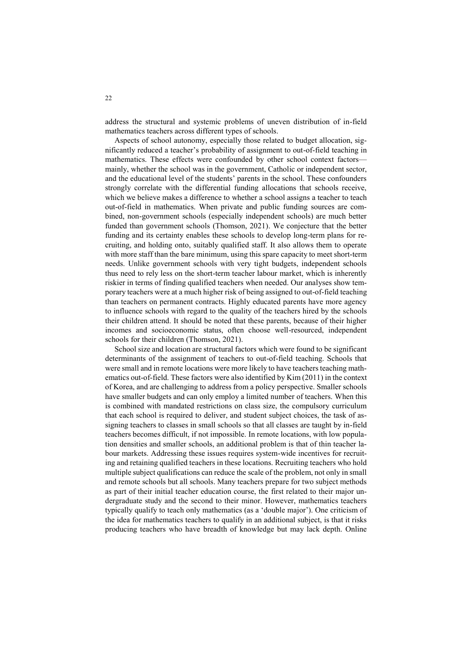address the structural and systemic problems of uneven distribution of in-field mathematics teachers across different types of schools.

Aspects of school autonomy, especially those related to budget allocation, significantly reduced a teacher's probability of assignment to out-of-field teaching in mathematics. These effects were confounded by other school context factors mainly, whether the school was in the government, Catholic or independent sector, and the educational level of the students' parents in the school. These confounders strongly correlate with the differential funding allocations that schools receive, which we believe makes a difference to whether a school assigns a teacher to teach out-of-field in mathematics. When private and public funding sources are combined, non-government schools (especially independent schools) are much better funded than government schools (Thomson, 2021). We conjecture that the better funding and its certainty enables these schools to develop long-term plans for recruiting, and holding onto, suitably qualified staff. It also allows them to operate with more staff than the bare minimum, using this spare capacity to meet short-term needs. Unlike government schools with very tight budgets, independent schools thus need to rely less on the short-term teacher labour market, which is inherently riskier in terms of finding qualified teachers when needed. Our analyses show temporary teachers were at a much higher risk of being assigned to out-of-field teaching than teachers on permanent contracts. Highly educated parents have more agency to influence schools with regard to the quality of the teachers hired by the schools their children attend. It should be noted that these parents, because of their higher incomes and socioeconomic status, often choose well-resourced, independent schools for their children (Thomson, 2021).

School size and location are structural factors which were found to be significant determinants of the assignment of teachers to out-of-field teaching. Schools that were small and in remote locations were more likely to have teachers teaching mathematics out-of-field. These factors were also identified by Kim (2011) in the context of Korea, and are challenging to address from a policy perspective. Smaller schools have smaller budgets and can only employ a limited number of teachers. When this is combined with mandated restrictions on class size, the compulsory curriculum that each school is required to deliver, and student subject choices, the task of assigning teachers to classes in small schools so that all classes are taught by in-field teachers becomes difficult, if not impossible. In remote locations, with low population densities and smaller schools, an additional problem is that of thin teacher labour markets. Addressing these issues requires system-wide incentives for recruiting and retaining qualified teachers in these locations. Recruiting teachers who hold multiple subject qualifications can reduce the scale of the problem, not only in small and remote schools but all schools. Many teachers prepare for two subject methods as part of their initial teacher education course, the first related to their major undergraduate study and the second to their minor. However, mathematics teachers typically qualify to teach only mathematics (as a 'double major'). One criticism of the idea for mathematics teachers to qualify in an additional subject, is that it risks producing teachers who have breadth of knowledge but may lack depth. Online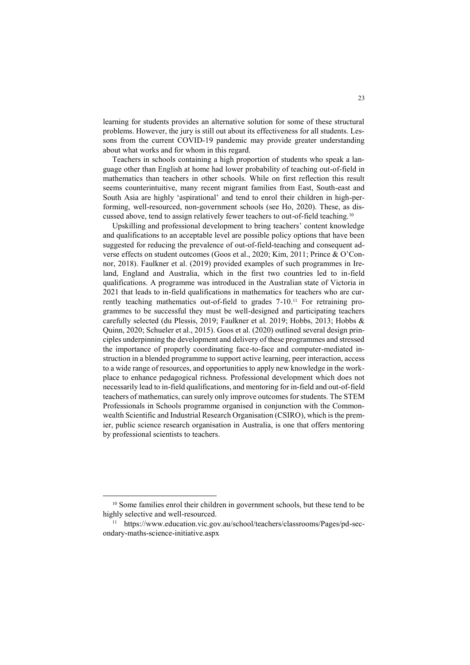learning for students provides an alternative solution for some of these structural problems. However, the jury is still out about its effectiveness for all students. Lessons from the current COVID-19 pandemic may provide greater understanding about what works and for whom in this regard.

Teachers in schools containing a high proportion of students who speak a language other than English at home had lower probability of teaching out-of-field in mathematics than teachers in other schools. While on first reflection this result seems counterintuitive, many recent migrant families from East, South-east and South Asia are highly 'aspirational' and tend to enrol their children in high-performing, well-resourced, non-government schools (see Ho, 2020). These, as discussed above, tend to assign relatively fewer teachers to out-of-field teaching.<sup>10</sup>

Upskilling and professional development to bring teachers' content knowledge and qualifications to an acceptable level are possible policy options that have been suggested for reducing the prevalence of out-of-field-teaching and consequent adverse effects on student outcomes (Goos et al., 2020; Kim, 2011; Prince & O'Connor, 2018). Faulkner et al. (2019) provided examples of such programmes in Ireland, England and Australia, which in the first two countries led to in-field qualifications. A programme was introduced in the Australian state of Victoria in 2021 that leads to in-field qualifications in mathematics for teachers who are currently teaching mathematics out-of-field to grades 7-10.<sup>11</sup> For retraining programmes to be successful they must be well-designed and participating teachers carefully selected (du Plessis, 2019; Faulkner et al. 2019; Hobbs, 2013; Hobbs & Quinn, 2020; Schueler et al., 2015). Goos et al. (2020) outlined several design principles underpinning the development and delivery of these programmes and stressed the importance of properly coordinating face-to-face and computer-mediated instruction in a blended programme to support active learning, peer interaction, access to a wide range of resources, and opportunities to apply new knowledge in the workplace to enhance pedagogical richness. Professional development which does not necessarily lead to in-field qualifications, and mentoring for in-field and out-of-field teachers of mathematics, can surely only improve outcomes for students. The STEM Professionals in Schools programme organised in conjunction with the Commonwealth Scientific and Industrial Research Organisation (CSIRO), which is the premier, public science research organisation in Australia, is one that offers mentoring by professional scientists to teachers.

<sup>&</sup>lt;sup>10</sup> Some families enrol their children in government schools, but these tend to be highly selective and well-resourced.

<sup>11</sup> https://www.education.vic.gov.au/school/teachers/classrooms/Pages/pd-secondary-maths-science-initiative.aspx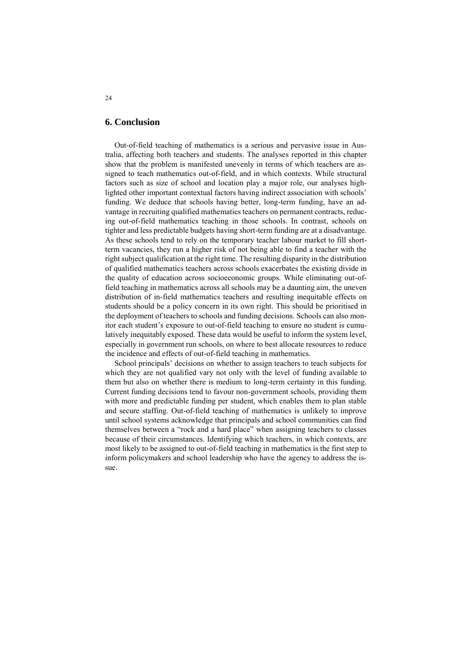### **6. Conclusion**

Out-of-field teaching of mathematics is a serious and pervasive issue in Australia, affecting both teachers and students. The analyses reported in this chapter show that the problem is manifested unevenly in terms of which teachers are assigned to teach mathematics out-of-field, and in which contexts. While structural factors such as size of school and location play a major role, our analyses highlighted other important contextual factors having indirect association with schools' funding. We deduce that schools having better, long-term funding, have an advantage in recruiting qualified mathematics teachers on permanent contracts, reducing out-of-field mathematics teaching in those schools. In contrast, schools on tighter and less predictable budgets having short-term funding are at a disadvantage. As these schools tend to rely on the temporary teacher labour market to fill shortterm vacancies, they run a higher risk of not being able to find a teacher with the right subject qualification at the right time. The resulting disparity in the distribution of qualified mathematics teachers across schools exacerbates the existing divide in the quality of education across socioeconomic groups. While eliminating out-offield teaching in mathematics across all schools may be a daunting aim, the uneven distribution of in-field mathematics teachers and resulting inequitable effects on students should be a policy concern in its own right. This should be prioritised in the deployment of teachers to schools and funding decisions. Schools can also monitor each student's exposure to out-of-field teaching to ensure no student is cumulatively inequitably exposed. These data would be useful to inform the system level, especially in government run schools, on where to best allocate resources to reduce the incidence and effects of out-of-field teaching in mathematics.

School principals' decisions on whether to assign teachers to teach subjects for which they are not qualified vary not only with the level of funding available to them but also on whether there is medium to long-term certainty in this funding. Current funding decisions tend to favour non-government schools, providing them with more and predictable funding per student, which enables them to plan stable and secure staffing. Out-of-field teaching of mathematics is unlikely to improve until school systems acknowledge that principals and school communities can find themselves between a "rock and a hard place" when assigning teachers to classes because of their circumstances. Identifying which teachers, in which contexts, are most likely to be assigned to out-of-field teaching in mathematics is the first step to inform policymakers and school leadership who have the agency to address the issue.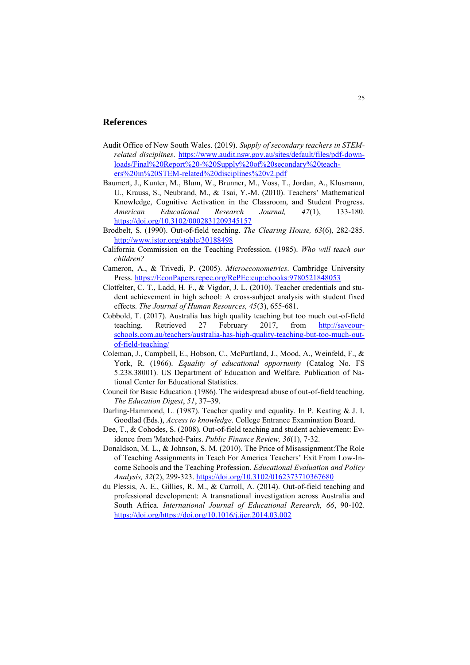### **References**

- Audit Office of New South Wales. (2019). *Supply of secondary teachers in STEMrelated disciplines*. [https://www.audit.nsw.gov.au/sites/default/files/pdf-down](https://www.audit.nsw.gov.au/sites/default/files/pdf-downloads/Final%20Report%20-%20Supply%20of%20secondary%20teachers%20in%20STEM-related%20disciplines%20v2.pdf)[loads/Final%20Report%20-%20Supply%20of%20secondary%20teach](https://www.audit.nsw.gov.au/sites/default/files/pdf-downloads/Final%20Report%20-%20Supply%20of%20secondary%20teachers%20in%20STEM-related%20disciplines%20v2.pdf)[ers%20in%20STEM-related%20disciplines%20v2.pdf](https://www.audit.nsw.gov.au/sites/default/files/pdf-downloads/Final%20Report%20-%20Supply%20of%20secondary%20teachers%20in%20STEM-related%20disciplines%20v2.pdf)
- Baumert, J., Kunter, M., Blum, W., Brunner, M., Voss, T., Jordan, A., Klusmann, U., Krauss, S., Neubrand, M., & Tsai, Y.-M. (2010). Teachers' Mathematical Knowledge, Cognitive Activation in the Classroom, and Student Progress. *American Educational Research Journal, 47*(1), 133-180. <https://doi.org/10.3102/0002831209345157>
- Brodbelt, S. (1990). Out-of-field teaching. *The Clearing House, 63*(6), 282-285. <http://www.jstor.org/stable/30188498>
- California Commission on the Teaching Profession. (1985). *Who will teach our children?*
- Cameron, A., & Trivedi, P. (2005). *Microeconometrics*. Cambridge University Press[. https://EconPapers.repec.org/RePEc:cup:cbooks:9780521848053](https://econpapers.repec.org/RePEc:cup:cbooks:9780521848053)
- Clotfelter, C. T., Ladd, H. F., & Vigdor, J. L. (2010). Teacher credentials and student achievement in high school: A cross-subject analysis with student fixed effects. *The Journal of Human Resources, 45*(3), 655-681.
- Cobbold, T. (2017). Australia has high quality teaching but too much out-of-field teaching. Retrieved 27 February 2017, from [http://saveour](http://saveourschools.com.au/teachers/australia-has-high-quality-teaching-but-too-much-out-of-field-teaching/)[schools.com.au/teachers/australia-has-high-quality-teaching-but-too-much-out](http://saveourschools.com.au/teachers/australia-has-high-quality-teaching-but-too-much-out-of-field-teaching/)[of-field-teaching/](http://saveourschools.com.au/teachers/australia-has-high-quality-teaching-but-too-much-out-of-field-teaching/)
- Coleman, J., Campbell, E., Hobson, C., McPartland, J., Mood, A., Weinfeld, F., & York, R. (1966). *Equality of educational opportunity* (Catalog No. FS 5.238.38001). US Department of Education and Welfare. Publication of National Center for Educational Statistics.
- Council for Basic Education. (1986). The widespread abuse of out-of-field teaching. *The Education Digest*, *51*, 37–39.
- Darling-Hammond, L. (1987). Teacher quality and equality. In P. Keating & J. I. Goodlad (Eds.), *Access to knowledge*. College Entrance Examination Board.
- Dee, T., & Cohodes, S. (2008). Out-of-field teaching and student achievement: Evidence from 'Matched-Pairs. *Public Finance Review, 36*(1), 7-32.
- Donaldson, M. L., & Johnson, S. M. (2010). The Price of Misassignment:The Role of Teaching Assignments in Teach For America Teachers' Exit From Low-Income Schools and the Teaching Profession. *Educational Evaluation and Policy Analysis, 32*(2), 299-323[. https://doi.org/10.3102/0162373710367680](https://doi.org/10.3102/0162373710367680)
- du Plessis, A. E., Gillies, R. M., & Carroll, A. (2014). Out-of-field teaching and professional development: A transnational investigation across Australia and South Africa. *International Journal of Educational Research, 66*, 90-102. [https://doi.org/https://doi.org/10.1016/j.ijer.2014.03.002](https://doi.org/https:/doi.org/10.1016/j.ijer.2014.03.002)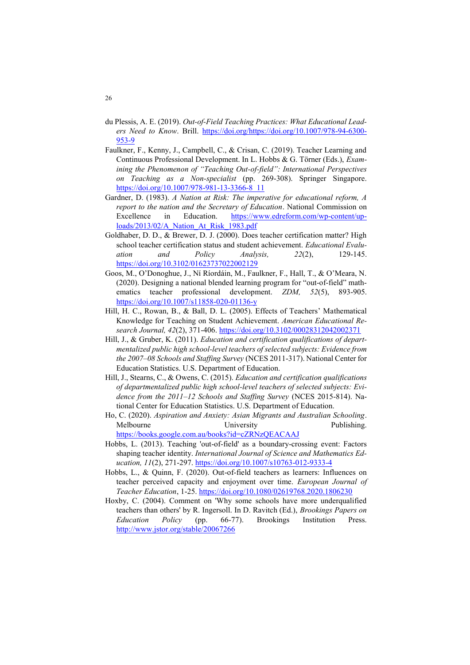- du Plessis, A. E. (2019). *Out-of-Field Teaching Practices: What Educational Leaders Need to Know*. Brill. [https://doi.org/https://doi.org/10.1007/978-94-6300-](https://doi.org/https:/doi.org/10.1007/978-94-6300-953-9) [953-9](https://doi.org/https:/doi.org/10.1007/978-94-6300-953-9)
- Faulkner, F., Kenny, J., Campbell, C., & Crisan, C. (2019). Teacher Learning and Continuous Professional Development. In L. Hobbs & G. Törner (Eds.), *Examining the Phenomenon of "Teaching Out-of-field": International Perspectives on Teaching as a Non-specialist* (pp. 269-308). Springer Singapore. [https://doi.org/10.1007/978-981-13-3366-8\\_11](https://doi.org/10.1007/978-981-13-3366-8_11)
- Gardner, D. (1983). *A Nation at Risk: The imperative for educational reform, A report to the nation and the Secretary of Education*. National Commission on Excellence in Education. [https://www.edreform.com/wp-content/up](https://www.edreform.com/wp-content/uploads/2013/02/A_Nation_At_Risk_1983.pdf)[loads/2013/02/A\\_Nation\\_At\\_Risk\\_1983.pdf](https://www.edreform.com/wp-content/uploads/2013/02/A_Nation_At_Risk_1983.pdf)
- Goldhaber, D. D., & Brewer, D. J. (2000). Does teacher certification matter? High school teacher certification status and student achievement. *Educational Evaluation and Policy Analysis, 22*(2), 129-145. <https://doi.org/10.3102/01623737022002129>
- Goos, M., O'Donoghue, J., Ní Ríordáin, M., Faulkner, F., Hall, T., & O'Meara, N. (2020). Designing a national blended learning program for "out-of-field" mathematics teacher professional development. *ZDM, 52*(5), 893-905. <https://doi.org/10.1007/s11858-020-01136-y>
- Hill, H. C., Rowan, B., & Ball, D. L. (2005). Effects of Teachers' Mathematical Knowledge for Teaching on Student Achievement. *American Educational Research Journal, 42*(2), 371-406[. https://doi.org/10.3102/00028312042002371](https://doi.org/10.3102/00028312042002371)
- Hill, J., & Gruber, K. (2011). *Education and certification qualifications of departmentalized public high school-level teachers of selected subjects: Evidence from the 2007–08 Schools and Staffing Survey* (NCES 2011-317). National Center for Education Statistics. U.S. Department of Education.
- Hill, J., Stearns, C., & Owens, C. (2015). *Education and certification qualifications of departmentalized public high school-level teachers of selected subjects: Evidence from the 2011–12 Schools and Staffing Survey* (NCES 2015-814). National Center for Education Statistics. U.S. Department of Education.
- Ho, C. (2020). *Aspiration and Anxiety: Asian Migrants and Australian Schooling*. Melbourne University Publishing. <https://books.google.com.au/books?id=cZRNzQEACAAJ>
- Hobbs, L. (2013). Teaching 'out-of-field' as a boundary-crossing event: Factors shaping teacher identity. *International Journal of Science and Mathematics Education, 11*(2), 271-297.<https://doi.org/10.1007/s10763-012-9333-4>
- Hobbs, L., & Quinn, F. (2020). Out-of-field teachers as learners: Influences on teacher perceived capacity and enjoyment over time. *European Journal of Teacher Education*, 1-25.<https://doi.org/10.1080/02619768.2020.1806230>
- Hoxby, C. (2004). Comment on 'Why some schools have more underqualified teachers than others' by R. Ingersoll. In D. Ravitch (Ed.), *Brookings Papers on Education Policy* (pp. 66-77). Brookings Institution Press. <http://www.jstor.org/stable/20067266>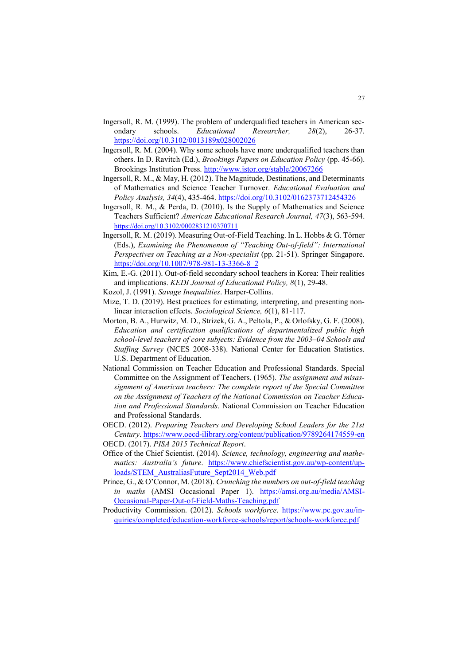- Ingersoll, R. M. (1999). The problem of underqualified teachers in American secondary schools. *Educational Researcher, 28*(2), 26-37. <https://doi.org/10.3102/0013189x028002026>
- Ingersoll, R. M. (2004). Why some schools have more underqualified teachers than others. In D. Ravitch (Ed.), *Brookings Papers on Education Policy* (pp. 45-66). Brookings Institution Press.<http://www.jstor.org/stable/20067266>
- Ingersoll, R. M., & May, H. (2012). The Magnitude, Destinations, and Determinants of Mathematics and Science Teacher Turnover. *Educational Evaluation and Policy Analysis, 34*(4), 435-464[. https://doi.org/10.3102/0162373712454326](https://doi.org/10.3102/0162373712454326)
- Ingersoll, R. M., & Perda, D. (2010). Is the Supply of Mathematics and Science Teachers Sufficient? *American Educational Research Journal, 47*(3), 563-594. <https://doi.org/10.3102/0002831210370711>
- Ingersoll, R. M. (2019). Measuring Out-of-Field Teaching. In L. Hobbs & G. Törner (Eds.), *Examining the Phenomenon of "Teaching Out-of-field": International Perspectives on Teaching as a Non-specialist* (pp. 21-51). Springer Singapore. [https://doi.org/10.1007/978-981-13-3366-8\\_2](https://doi.org/10.1007/978-981-13-3366-8_2)
- Kim, E.-G. (2011). Out-of-field secondary school teachers in Korea: Their realities and implications. *KEDI Journal of Educational Policy, 8*(1), 29-48.
- Kozol, J. (1991). *Savage Inequalities*. Harper-Collins.
- Mize, T. D. (2019). Best practices for estimating, interpreting, and presenting nonlinear interaction effects. *Sociological Science, 6*(1), 81-117.
- Morton, B. A., Hurwitz, M. D., Strizek, G. A., Peltola, P., & Orlofsky, G. F. (2008). *Education and certification qualifications of departmentalized public high school-level teachers of core subjects: Evidence from the 2003–04 Schools and Staffing Survey* (NCES 2008-338). National Center for Education Statistics. U.S. Department of Education.
- National Commission on Teacher Education and Professional Standards. Special Committee on the Assignment of Teachers. (1965). *The assignment and misassignment of American teachers: The complete report of the Special Committee on the Assignment of Teachers of the National Commission on Teacher Education and Professional Standards*. National Commission on Teacher Education and Professional Standards.
- OECD. (2012). *Preparing Teachers and Developing School Leaders for the 21st Century*.<https://www.oecd-ilibrary.org/content/publication/9789264174559-en> OECD. (2017). *PISA 2015 Technical Report*.
- Office of the Chief Scientist. (2014). *Science, technology, engineering and mathematics: Australia's future*. [https://www.chiefscientist.gov.au/wp-content/up](https://www.chiefscientist.gov.au/wp-content/uploads/STEM_AustraliasFuture_Sept2014_Web.pdf)[loads/STEM\\_AustraliasFuture\\_Sept2014\\_Web.pdf](https://www.chiefscientist.gov.au/wp-content/uploads/STEM_AustraliasFuture_Sept2014_Web.pdf)
- Prince, G., & O'Connor, M. (2018). *Crunching the numbers on out-of-field teaching in maths* (AMSI Occasional Paper 1). [https://amsi.org.au/media/AMSI-](https://amsi.org.au/media/AMSI-Occasional-Paper-Out-of-Field-Maths-Teaching.pdf)[Occasional-Paper-Out-of-Field-Maths-Teaching.pdf](https://amsi.org.au/media/AMSI-Occasional-Paper-Out-of-Field-Maths-Teaching.pdf)
- Productivity Commission. (2012). *Schools workforce*. [https://www.pc.gov.au/in](https://www.pc.gov.au/inquiries/completed/education-workforce-schools/report/schools-workforce.pdf)[quiries/completed/education-workforce-schools/report/schools-workforce.pdf](https://www.pc.gov.au/inquiries/completed/education-workforce-schools/report/schools-workforce.pdf)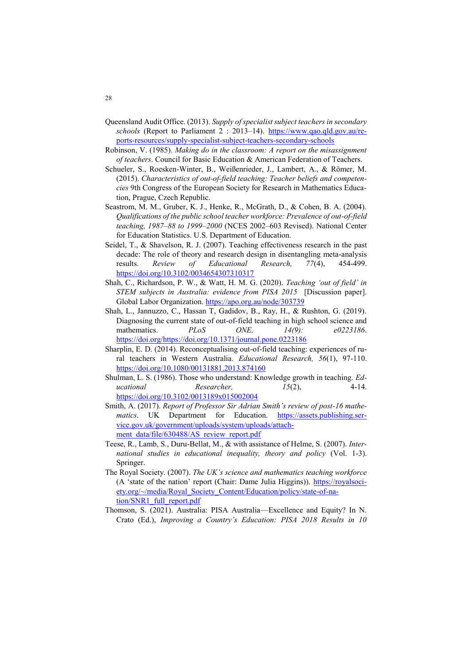- Queensland Audit Office. (2013). *Supply of specialist subject teachers in secondary schools* (Report to Parliament 2 : 2013–14). [https://www.qao.qld.gov.au/re](https://www.qao.qld.gov.au/reports-resources/supply-specialist-subject-teachers-secondary-schools)[ports-resources/supply-specialist-subject-teachers-secondary-schools](https://www.qao.qld.gov.au/reports-resources/supply-specialist-subject-teachers-secondary-schools)
- Robinson, V. (1985). *Making do in the classroom: A report on the misassignment of teachers*. Council for Basic Education & American Federation of Teachers.
- Schueler, S., Roesken-Winter, B., Weißenrieder, J., Lambert, A., & Römer, M. (2015). *Characteristics of out-of-field teaching: Teacher beliefs and competencies* 9th Congress of the European Society for Research in Mathematics Education, Prague, Czech Republic.
- Seastrom, M. M., Gruber, K. J., Henke, R., McGrath, D., & Cohen, B. A. (2004). *Qualifications of the public school teacher workforce: Prevalence of out-of-field teaching, 1987–88 to 1999–2000* (NCES 2002–603 Revised). National Center for Education Statistics. U.S. Department of Education.
- Seidel, T., & Shavelson, R. J. (2007). Teaching effectiveness research in the past decade: The role of theory and research design in disentangling meta-analysis results. *Review of Educational Research, 77*(4), 454-499. <https://doi.org/10.3102/0034654307310317>
- Shah, C., Richardson, P. W., & Watt, H. M. G. (2020). *Teaching 'out of field' in STEM subjects in Australia: evidence from PISA 2015* [Discussion paper]. Global Labor Organization[. https://apo.org.au/node/303739](https://apo.org.au/node/303739)
- Shah, L., Jannuzzo, C., Hassan T, Gadidov, B., Ray, H., & Rushton, G. (2019). Diagnosing the current state of out-of-field teaching in high school science and mathematics. *PLoS ONE, 14(9): e0223186*. [https://doi.org/https://doi.org/10.1371/journal.pone.0223186](https://doi.org/https:/doi.org/10.1371/journal.pone.0223186)
- Sharplin, E. D. (2014). Reconceptualising out-of-field teaching: experiences of rural teachers in Western Australia. *Educational Research, 56*(1), 97-110. <https://doi.org/10.1080/00131881.2013.874160>
- Shulman, L. S. (1986). Those who understand: Knowledge growth in teaching. *Educational Researcher, 15*(2), 4-14. <https://doi.org/10.3102/0013189x015002004>
- Smith, A. (2017). *Report of Professor Sir Adrian Smith's review of post-16 mathematics*. UK Department for Education. [https://assets.publishing.ser](https://assets.publishing.service.gov.uk/government/uploads/system/uploads/attachment_data/file/630488/AS_review_report.pdf)[vice.gov.uk/government/uploads/system/uploads/attach](https://assets.publishing.service.gov.uk/government/uploads/system/uploads/attachment_data/file/630488/AS_review_report.pdf)[ment\\_data/file/630488/AS\\_review\\_report.pdf](https://assets.publishing.service.gov.uk/government/uploads/system/uploads/attachment_data/file/630488/AS_review_report.pdf)
- Teese, R., Lamb, S., Duru-Bellat, M., & with assistance of Helme, S. (2007). *International studies in educational inequality, theory and policy* (Vol. 1-3). Springer.
- The Royal Society. (2007). *The UK's science and mathematics teaching workforce* (A 'state of the nation' report (Chair: Dame Julia Higgins)). [https://royalsoci](https://royalsociety.org/~/media/Royal_Society_Content/Education/policy/state-of-nation/SNR1_full_report.pdf)[ety.org/~/media/Royal\\_Society\\_Content/Education/policy/state-of-na](https://royalsociety.org/~/media/Royal_Society_Content/Education/policy/state-of-nation/SNR1_full_report.pdf)[tion/SNR1\\_full\\_report.pdf](https://royalsociety.org/~/media/Royal_Society_Content/Education/policy/state-of-nation/SNR1_full_report.pdf)
- Thomson, S. (2021). Australia: PISA Australia—Excellence and Equity? In N. Crato (Ed.), *Improving a Country's Education: PISA 2018 Results in 10*